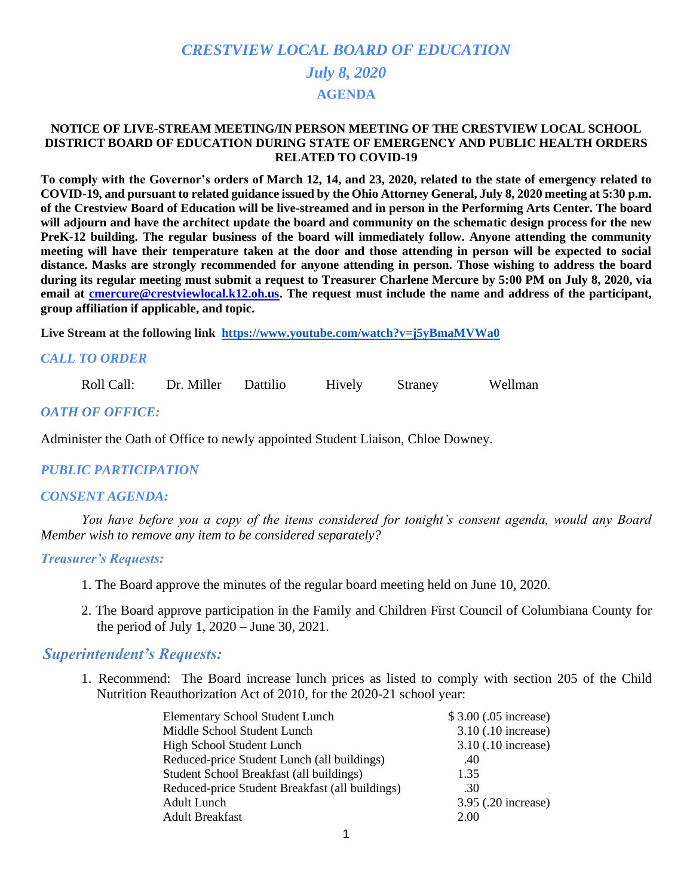# *CRESTVIEW LOCAL BOARD OF EDUCATION July 8, 2020* **AGENDA**

#### **NOTICE OF LIVE-STREAM MEETING/IN PERSON MEETING OF THE CRESTVIEW LOCAL SCHOOL DISTRICT BOARD OF EDUCATION DURING STATE OF EMERGENCY AND PUBLIC HEALTH ORDERS RELATED TO COVID-19**

**To comply with the Governor's orders of March 12, 14, and 23, 2020, related to the state of emergency related to COVID-19, and pursuant to related guidance issued by the Ohio Attorney General, July 8, 2020 meeting at 5:30 p.m. of the Crestview Board of Education will be live-streamed and in person in the Performing Arts Center. The board will adjourn and have the architect update the board and community on the schematic design process for the new PreK-12 building. The regular business of the board will immediately follow. Anyone attending the community meeting will have their temperature taken at the door and those attending in person will be expected to social distance. Masks are strongly recommended for anyone attending in person. Those wishing to address the board during its regular meeting must submit a request to Treasurer Charlene Mercure by 5:00 PM on July 8, 2020, via email at [cmercure@crestviewlocal.k12.oh.us.](mailto:cmercure@crestviewlocal.k12.oh.us) The request must include the name and address of the participant, group affiliation if applicable, and topic.** 

**Live Stream at the following link <https://www.youtube.com/watch?v=j5yBmaMVWa0>**

### *CALL TO ORDER*

Roll Call: Dr. Miller Dattilio Hively Straney Wellman

#### *OATH OF OFFICE:*

Administer the Oath of Office to newly appointed Student Liaison, Chloe Downey.

### *PUBLIC PARTICIPATION*

#### *CONSENT AGENDA:*

 *You have before you a copy of the items considered for tonight's consent agenda, would any Board Member wish to remove any item to be considered separately?*

#### *Treasurer's Requests:*

- 1. The Board approve the minutes of the regular board meeting held on June 10, 2020.
- 2. The Board approve participation in the Family and Children First Council of Columbiana County for the period of July 1, 2020 – June 30, 2021.

### *Superintendent's Requests:*

1. Recommend: The Board increase lunch prices as listed to comply with section 205 of the Child Nutrition Reauthorization Act of 2010, for the 2020-21 school year:

| <b>Elementary School Student Lunch</b>          | \$3.00 (.05 increase) |
|-------------------------------------------------|-----------------------|
| Middle School Student Lunch                     | 3.10 (.10 increase)   |
| High School Student Lunch                       | 3.10 (.10 increase)   |
| Reduced-price Student Lunch (all buildings)     | .40                   |
| Student School Breakfast (all buildings)        | 1.35                  |
| Reduced-price Student Breakfast (all buildings) | .30                   |
| Adult Lunch                                     | 3.95 (.20 increase)   |
| <b>Adult Breakfast</b>                          | 2.00                  |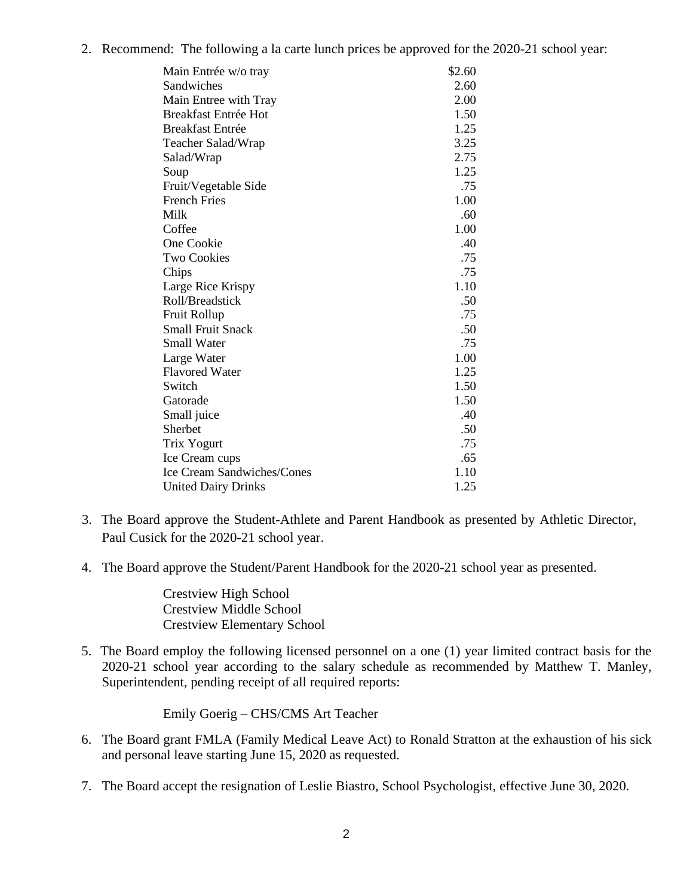2. Recommend: The following a la carte lunch prices be approved for the 2020-21 school year:

| Main Entrée w/o tray              | \$2.60 |
|-----------------------------------|--------|
| Sandwiches                        | 2.60   |
| Main Entree with Tray             | 2.00   |
| <b>Breakfast Entrée Hot</b>       | 1.50   |
| <b>Breakfast Entrée</b>           | 1.25   |
| Teacher Salad/Wrap                | 3.25   |
| Salad/Wrap                        | 2.75   |
| Soup                              | 1.25   |
| Fruit/Vegetable Side              | .75    |
| <b>French Fries</b>               | 1.00   |
| Milk                              | .60    |
| Coffee                            | 1.00   |
| One Cookie                        | .40    |
| <b>Two Cookies</b>                | .75    |
| Chips                             | .75    |
| Large Rice Krispy                 | 1.10   |
| Roll/Breadstick                   | .50    |
| Fruit Rollup                      | .75    |
| <b>Small Fruit Snack</b>          | .50    |
| <b>Small Water</b>                | .75    |
| Large Water                       | 1.00   |
| <b>Flavored Water</b>             | 1.25   |
| Switch                            | 1.50   |
| Gatorade                          | 1.50   |
| Small juice                       | .40    |
| Sherbet                           | .50    |
| Trix Yogurt                       | .75    |
| Ice Cream cups                    | .65    |
| <b>Ice Cream Sandwiches/Cones</b> | 1.10   |
| <b>United Dairy Drinks</b>        | 1.25   |

- 3. The Board approve the Student-Athlete and Parent Handbook as presented by Athletic Director, Paul Cusick for the 2020-21 school year.
- 4. The Board approve the Student/Parent Handbook for the 2020-21 school year as presented.

Crestview High School Crestview Middle School Crestview Elementary School

5. The Board employ the following licensed personnel on a one (1) year limited contract basis for the 2020-21 school year according to the salary schedule as recommended by Matthew T. Manley, Superintendent, pending receipt of all required reports:

Emily Goerig – CHS/CMS Art Teacher

- 6. The Board grant FMLA (Family Medical Leave Act) to Ronald Stratton at the exhaustion of his sick and personal leave starting June 15, 2020 as requested.
- 7. The Board accept the resignation of Leslie Biastro, School Psychologist, effective June 30, 2020.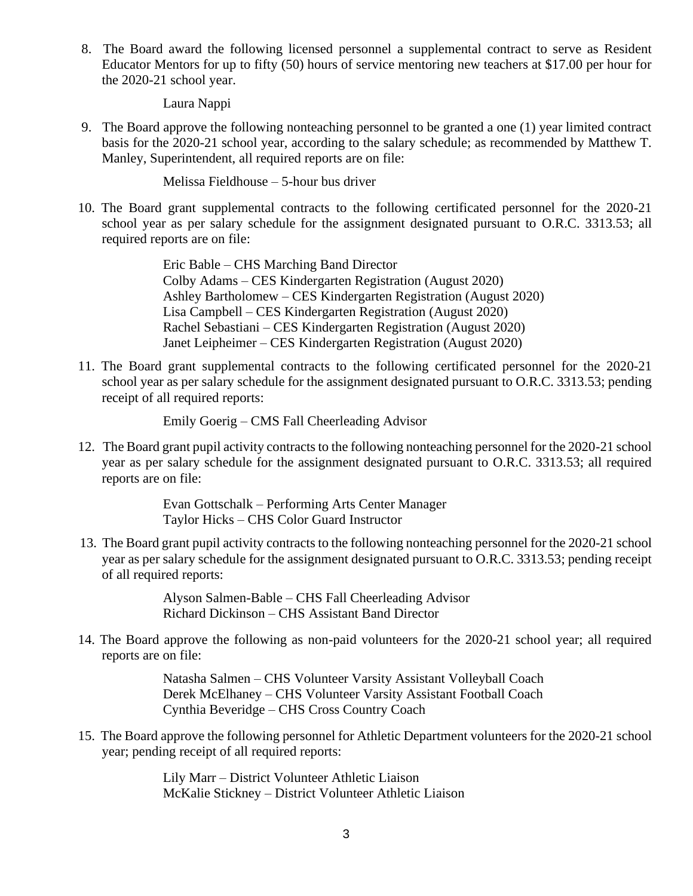8. The Board award the following licensed personnel a supplemental contract to serve as Resident Educator Mentors for up to fifty (50) hours of service mentoring new teachers at \$17.00 per hour for the 2020-21 school year.

Laura Nappi

9. The Board approve the following nonteaching personnel to be granted a one (1) year limited contract basis for the 2020-21 school year, according to the salary schedule; as recommended by Matthew T. Manley, Superintendent, all required reports are on file:

Melissa Fieldhouse – 5-hour bus driver

 10. The Board grant supplemental contracts to the following certificated personnel for the 2020-21 school year as per salary schedule for the assignment designated pursuant to O.R.C. 3313.53; all required reports are on file:

> Eric Bable – CHS Marching Band Director Colby Adams – CES Kindergarten Registration (August 2020) Ashley Bartholomew – CES Kindergarten Registration (August 2020) Lisa Campbell – CES Kindergarten Registration (August 2020) Rachel Sebastiani – CES Kindergarten Registration (August 2020) Janet Leipheimer – CES Kindergarten Registration (August 2020)

11. The Board grant supplemental contracts to the following certificated personnel for the 2020-21 school year as per salary schedule for the assignment designated pursuant to O.R.C. 3313.53; pending receipt of all required reports:

Emily Goerig – CMS Fall Cheerleading Advisor

12. The Board grant pupil activity contracts to the following nonteaching personnel for the 2020-21 school year as per salary schedule for the assignment designated pursuant to O.R.C. 3313.53; all required reports are on file:

> Evan Gottschalk – Performing Arts Center Manager Taylor Hicks – CHS Color Guard Instructor

13. The Board grant pupil activity contracts to the following nonteaching personnel for the 2020-21 school year as per salary schedule for the assignment designated pursuant to O.R.C. 3313.53; pending receipt of all required reports:

> Alyson Salmen-Bable – CHS Fall Cheerleading Advisor Richard Dickinson – CHS Assistant Band Director

14. The Board approve the following as non-paid volunteers for the 2020-21 school year; all required reports are on file:

> Natasha Salmen – CHS Volunteer Varsity Assistant Volleyball Coach Derek McElhaney – CHS Volunteer Varsity Assistant Football Coach Cynthia Beveridge – CHS Cross Country Coach

15. The Board approve the following personnel for Athletic Department volunteers for the 2020-21 school year; pending receipt of all required reports:

> Lily Marr – District Volunteer Athletic Liaison McKalie Stickney – District Volunteer Athletic Liaison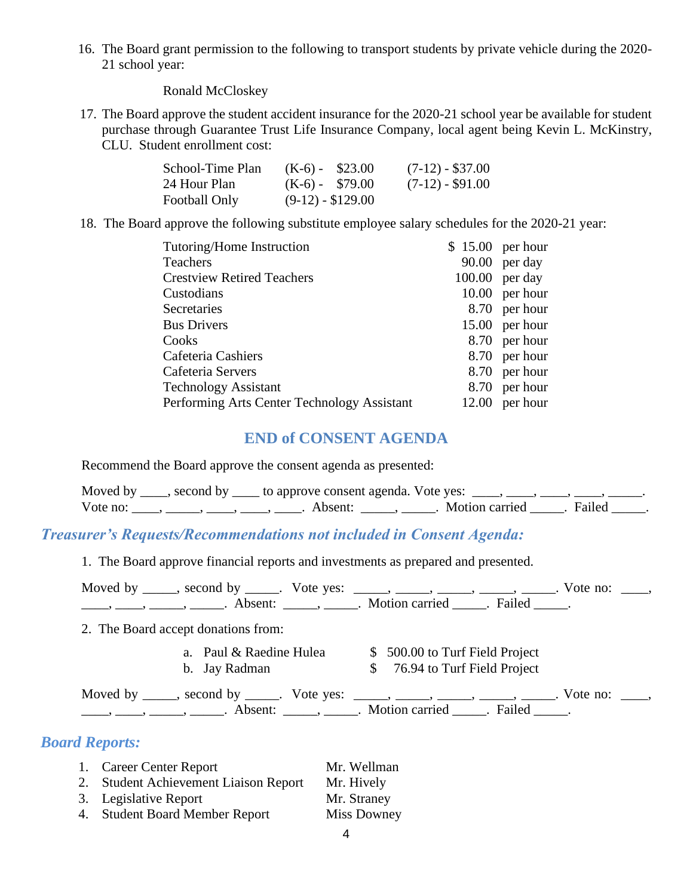16. The Board grant permission to the following to transport students by private vehicle during the 2020- 21 school year:

Ronald McCloskey

17. The Board approve the student accident insurance for the 2020-21 school year be available for student purchase through Guarantee Trust Life Insurance Company, local agent being Kevin L. McKinstry, CLU. Student enrollment cost:

| School-Time Plan | $(K-6)$ - \$23.00  | $(7-12) - $37.00$  |
|------------------|--------------------|--------------------|
| 24 Hour Plan     | $(K-6) - $79.00$   | $(7-12)$ - \$91.00 |
| Football Only    | $(9-12) - $129.00$ |                    |

18. The Board approve the following substitute employee salary schedules for the 2020-21 year:

| Tutoring/Home Instruction                   | $$15.00$ per hour |                  |
|---------------------------------------------|-------------------|------------------|
| <b>Teachers</b>                             |                   | 90.00 per day    |
| <b>Crestview Retired Teachers</b>           |                   | $100.00$ per day |
| Custodians                                  |                   | $10.00$ per hour |
| <b>Secretaries</b>                          |                   | 8.70 per hour    |
| <b>Bus Drivers</b>                          |                   | 15.00 per hour   |
| Cooks                                       |                   | 8.70 per hour    |
| Cafeteria Cashiers                          |                   | 8.70 per hour    |
| Cafeteria Servers                           |                   | 8.70 per hour    |
| <b>Technology Assistant</b>                 |                   | 8.70 per hour    |
| Performing Arts Center Technology Assistant |                   | $12.00$ per hour |

### **END of CONSENT AGENDA**

Recommend the Board approve the consent agenda as presented:

|          | Moved by $\_\_\_\$ , second by $\_\_\_\$ to approve consent agenda. Vote yes: $\_\_\_\_\,\_\_\_\_\$ |                           |  |
|----------|-----------------------------------------------------------------------------------------------------|---------------------------|--|
| Vote no: | Absent:                                                                                             | . Motion carried . Failed |  |

### *Treasurer's Requests/Recommendations not included in Consent Agenda:*

1. The Board approve financial reports and investments as prepared and presented.

| 2. The Board accept donations from:      |                                                                                                                                                                                                                                                                                                                                                                                                                                                                                                                             |  |
|------------------------------------------|-----------------------------------------------------------------------------------------------------------------------------------------------------------------------------------------------------------------------------------------------------------------------------------------------------------------------------------------------------------------------------------------------------------------------------------------------------------------------------------------------------------------------------|--|
| a. Paul & Raedine Hulea<br>b. Jay Radman | \$ 500.00 to Turf Field Project<br>\$ 76.94 to Turf Field Project                                                                                                                                                                                                                                                                                                                                                                                                                                                           |  |
|                                          | Moved by _____, second by _____. Vote yes: _____, _____, _____, _____, _____. Vote no: ____,<br>$\frac{1}{1}, \frac{1}{1}, \frac{1}{1}, \frac{1}{1}, \frac{1}{1}, \frac{1}{1}, \frac{1}{1}, \frac{1}{1}, \frac{1}{1}, \frac{1}{1}, \frac{1}{1}, \frac{1}{1}, \frac{1}{1}, \frac{1}{1}, \frac{1}{1}, \frac{1}{1}, \frac{1}{1}, \frac{1}{1}, \frac{1}{1}, \frac{1}{1}, \frac{1}{1}, \frac{1}{1}, \frac{1}{1}, \frac{1}{1}, \frac{1}{1}, \frac{1}{1}, \frac{1}{1}, \frac{1}{1}, \frac{1}{1}, \frac{1}{1}, \frac{1}{1}, \frac{$ |  |

| 1. Career Center Report               | Mr. Wellman        |
|---------------------------------------|--------------------|
| 2. Student Achievement Liaison Report | Mr. Hively         |
| 3. Legislative Report                 | Mr. Straney        |
| 4. Student Board Member Report        | <b>Miss Downey</b> |
|                                       |                    |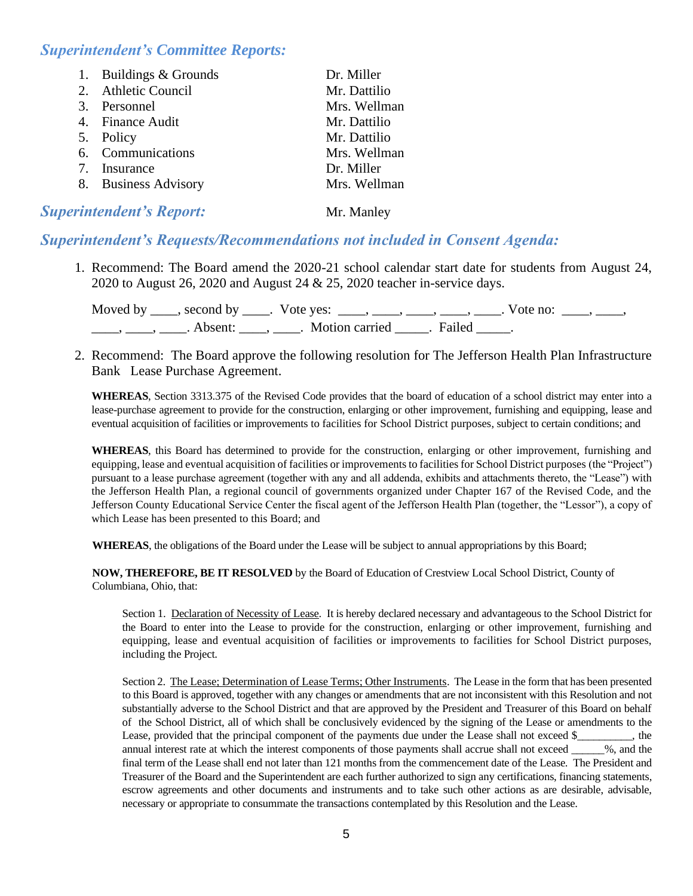### *Superintendent's Committee Reports:*

| 1. Buildings & Grounds | Dr. Miller   |
|------------------------|--------------|
| 2. Athletic Council    | Mr. Dattilio |
| 3. Personnel           | Mrs. Wellman |
| 4. Finance Audit       | Mr. Dattilio |
| 5. Policy              | Mr. Dattilio |
| 6. Communications      | Mrs. Wellman |
| 7. Insurance           | Dr. Miller   |
| 8. Business Advisory   | Mrs. Wellman |

### **Superintendent's Report:** Mr. Manley

### *Superintendent's Requests/Recommendations not included in Consent Agenda:*

1. Recommend: The Board amend the 2020-21 school calendar start date for students from August 24, 2020 to August 26, 2020 and August 24 & 25, 2020 teacher in-service days.

|  | Moved by _____, second by _____. Vote yes: _____, _____, _____, _____, _____. Vote no: |  |
|--|----------------------------------------------------------------------------------------|--|
|  | Absent: , . Motion carried . Failed                                                    |  |

2. Recommend: The Board approve the following resolution for The Jefferson Health Plan Infrastructure Bank Lease Purchase Agreement.

**WHEREAS**, Section 3313.375 of the Revised Code provides that the board of education of a school district may enter into a lease-purchase agreement to provide for the construction, enlarging or other improvement, furnishing and equipping, lease and eventual acquisition of facilities or improvements to facilities for School District purposes, subject to certain conditions; and

**WHEREAS**, this Board has determined to provide for the construction, enlarging or other improvement, furnishing and equipping, lease and eventual acquisition of facilities or improvements to facilities for School District purposes (the "Project") pursuant to a lease purchase agreement (together with any and all addenda, exhibits and attachments thereto, the "Lease") with the Jefferson Health Plan, a regional council of governments organized under Chapter 167 of the Revised Code, and the Jefferson County Educational Service Center the fiscal agent of the Jefferson Health Plan (together, the "Lessor"), a copy of which Lease has been presented to this Board; and

**WHEREAS**, the obligations of the Board under the Lease will be subject to annual appropriations by this Board;

 **NOW, THEREFORE, BE IT RESOLVED** by the Board of Education of Crestview Local School District, County of Columbiana, Ohio, that:

Section 1. Declaration of Necessity of Lease. It is hereby declared necessary and advantageous to the School District for the Board to enter into the Lease to provide for the construction, enlarging or other improvement, furnishing and equipping, lease and eventual acquisition of facilities or improvements to facilities for School District purposes, including the Project.

Section 2. The Lease; Determination of Lease Terms; Other Instruments. The Lease in the form that has been presented to this Board is approved, together with any changes or amendments that are not inconsistent with this Resolution and not substantially adverse to the School District and that are approved by the President and Treasurer of this Board on behalf of the School District, all of which shall be conclusively evidenced by the signing of the Lease or amendments to the Lease, provided that the principal component of the payments due under the Lease shall not exceed \$\_\_\_\_\_\_\_, the annual interest rate at which the interest components of those payments shall accrue shall not exceed  $\frac{1}{2}$ , and the final term of the Lease shall end not later than 121 months from the commencement date of the Lease. The President and Treasurer of the Board and the Superintendent are each further authorized to sign any certifications, financing statements, escrow agreements and other documents and instruments and to take such other actions as are desirable, advisable, necessary or appropriate to consummate the transactions contemplated by this Resolution and the Lease.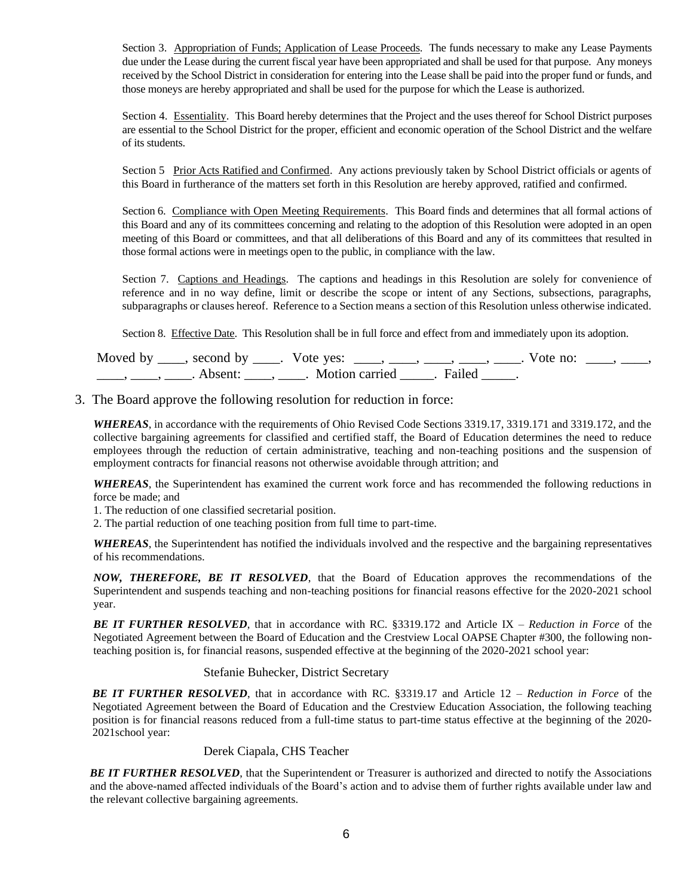Section 3. Appropriation of Funds; Application of Lease Proceeds. The funds necessary to make any Lease Payments due under the Lease during the current fiscal year have been appropriated and shall be used for that purpose. Any moneys received by the School District in consideration for entering into the Lease shall be paid into the proper fund or funds, and those moneys are hereby appropriated and shall be used for the purpose for which the Lease is authorized.

Section 4. Essentiality. This Board hereby determines that the Project and the uses thereof for School District purposes are essential to the School District for the proper, efficient and economic operation of the School District and the welfare of its students.

Section 5 Prior Acts Ratified and Confirmed. Any actions previously taken by School District officials or agents of this Board in furtherance of the matters set forth in this Resolution are hereby approved, ratified and confirmed.

Section 6. Compliance with Open Meeting Requirements. This Board finds and determines that all formal actions of this Board and any of its committees concerning and relating to the adoption of this Resolution were adopted in an open meeting of this Board or committees, and that all deliberations of this Board and any of its committees that resulted in those formal actions were in meetings open to the public, in compliance with the law.

Section 7. Captions and Headings. The captions and headings in this Resolution are solely for convenience of reference and in no way define, limit or describe the scope or intent of any Sections, subsections, paragraphs, subparagraphs or clauses hereof. Reference to a Section means a section of this Resolution unless otherwise indicated.

Section 8. Effective Date. This Resolution shall be in full force and effect from and immediately upon its adoption.

| Moved by _____, second by _____. Vote yes: |                           | Vote no: |  |
|--------------------------------------------|---------------------------|----------|--|
| Absent:                                    | . Motion carried . Failed |          |  |

3. The Board approve the following resolution for reduction in force:

*WHEREAS*, in accordance with the requirements of Ohio Revised Code Sections 3319.17, 3319.171 and 3319.172, and the collective bargaining agreements for classified and certified staff, the Board of Education determines the need to reduce employees through the reduction of certain administrative, teaching and non-teaching positions and the suspension of employment contracts for financial reasons not otherwise avoidable through attrition; and

*WHEREAS*, the Superintendent has examined the current work force and has recommended the following reductions in force be made; and

1. The reduction of one classified secretarial position.

2. The partial reduction of one teaching position from full time to part-time.

*WHEREAS*, the Superintendent has notified the individuals involved and the respective and the bargaining representatives of his recommendations.

*NOW, THEREFORE, BE IT RESOLVED*, that the Board of Education approves the recommendations of the Superintendent and suspends teaching and non-teaching positions for financial reasons effective for the 2020-2021 school year.

*BE IT FURTHER RESOLVED*, that in accordance with RC. §3319.172 and Article IX – *Reduction in Force* of the Negotiated Agreement between the Board of Education and the Crestview Local OAPSE Chapter #300, the following nonteaching position is, for financial reasons, suspended effective at the beginning of the 2020-2021 school year:

#### Stefanie Buhecker, District Secretary

*BE IT FURTHER RESOLVED*, that in accordance with RC. §3319.17 and Article 12 – *Reduction in Force* of the Negotiated Agreement between the Board of Education and the Crestview Education Association, the following teaching position is for financial reasons reduced from a full-time status to part-time status effective at the beginning of the 2020- 2021school year:

Derek Ciapala, CHS Teacher

*BE IT FURTHER RESOLVED*, that the Superintendent or Treasurer is authorized and directed to notify the Associations and the above-named affected individuals of the Board's action and to advise them of further rights available under law and the relevant collective bargaining agreements.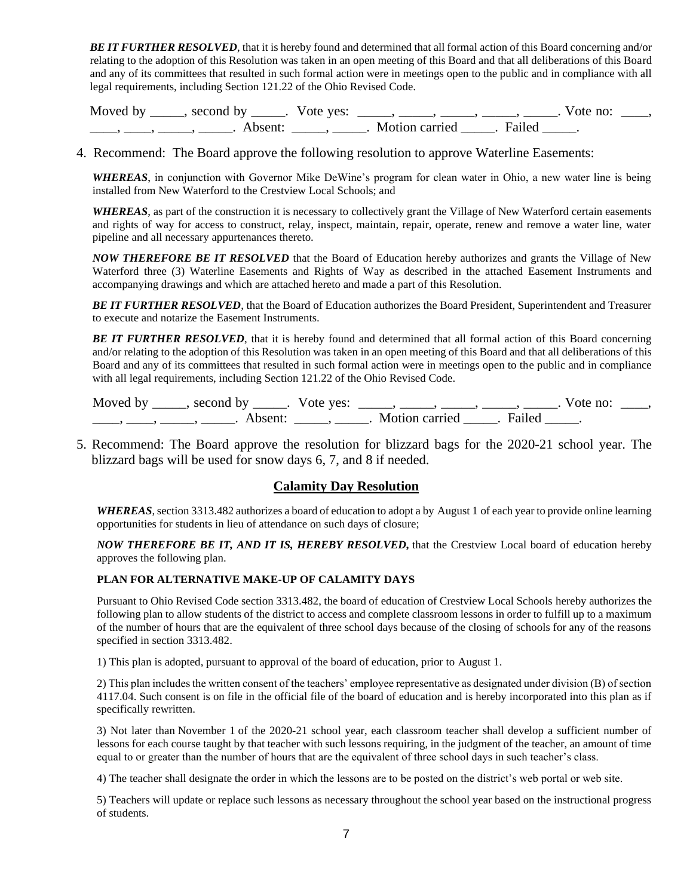*BE IT FURTHER RESOLVED*, that it is hereby found and determined that all formal action of this Board concerning and/or relating to the adoption of this Resolution was taken in an open meeting of this Board and that all deliberations of this Board and any of its committees that resulted in such formal action were in meetings open to the public and in compliance with all legal requirements, including Section 121.22 of the Ohio Revised Code.

| Moved by | second by           | Vote ves: |                |        | Vote no: |  |
|----------|---------------------|-----------|----------------|--------|----------|--|
|          | Absent <sup>.</sup> |           | Motion carried | Failed |          |  |

4. Recommend: The Board approve the following resolution to approve Waterline Easements:

*WHEREAS*, in conjunction with Governor Mike DeWine's program for clean water in Ohio, a new water line is being installed from New Waterford to the Crestview Local Schools; and

*WHEREAS*, as part of the construction it is necessary to collectively grant the Village of New Waterford certain easements and rights of way for access to construct, relay, inspect, maintain, repair, operate, renew and remove a water line, water pipeline and all necessary appurtenances thereto.

*NOW THEREFORE BE IT RESOLVED* that the Board of Education hereby authorizes and grants the Village of New Waterford three (3) Waterline Easements and Rights of Way as described in the attached Easement Instruments and accompanying drawings and which are attached hereto and made a part of this Resolution.

*BE IT FURTHER RESOLVED*, that the Board of Education authorizes the Board President, Superintendent and Treasurer to execute and notarize the Easement Instruments.

**BE IT FURTHER RESOLVED**, that it is hereby found and determined that all formal action of this Board concerning and/or relating to the adoption of this Resolution was taken in an open meeting of this Board and that all deliberations of this Board and any of its committees that resulted in such formal action were in meetings open to the public and in compliance with all legal requirements, including Section 121.22 of the Ohio Revised Code.

| Moved by | second by          | Vote yes: |                | vote no: |  |
|----------|--------------------|-----------|----------------|----------|--|
|          | A <sub>bsent</sub> |           | Motion carried |          |  |

5. Recommend: The Board approve the resolution for blizzard bags for the 2020-21 school year. The blizzard bags will be used for snow days 6, 7, and 8 if needed.

#### **Calamity Day Resolution**

*WHEREAS*, section 3313.482 authorizes a board of education to adopt a by August 1 of each year to provide online learning opportunities for students in lieu of attendance on such days of closure;

*NOW THEREFORE BE IT, AND IT IS, HEREBY RESOLVED,* that the Crestview Local board of education hereby approves the following plan.

#### **PLAN FOR ALTERNATIVE MAKE-UP OF CALAMITY DAYS**

Pursuant to Ohio Revised Code section 3313.482, the board of education of Crestview Local Schools hereby authorizes the following plan to allow students of the district to access and complete classroom lessons in order to fulfill up to a maximum of the number of hours that are the equivalent of three school days because of the closing of schools for any of the reasons specified in section 3313.482.

1) This plan is adopted, pursuant to approval of the board of education, prior to August 1.

2) This plan includes the written consent of the teachers' employee representative as designated under division (B) of section 4117.04. Such consent is on file in the official file of the board of education and is hereby incorporated into this plan as if specifically rewritten.

3) Not later than November 1 of the 2020-21 school year, each classroom teacher shall develop a sufficient number of lessons for each course taught by that teacher with such lessons requiring, in the judgment of the teacher, an amount of time equal to or greater than the number of hours that are the equivalent of three school days in such teacher's class.

4) The teacher shall designate the order in which the lessons are to be posted on the district's web portal or web site.

5) Teachers will update or replace such lessons as necessary throughout the school year based on the instructional progress of students.